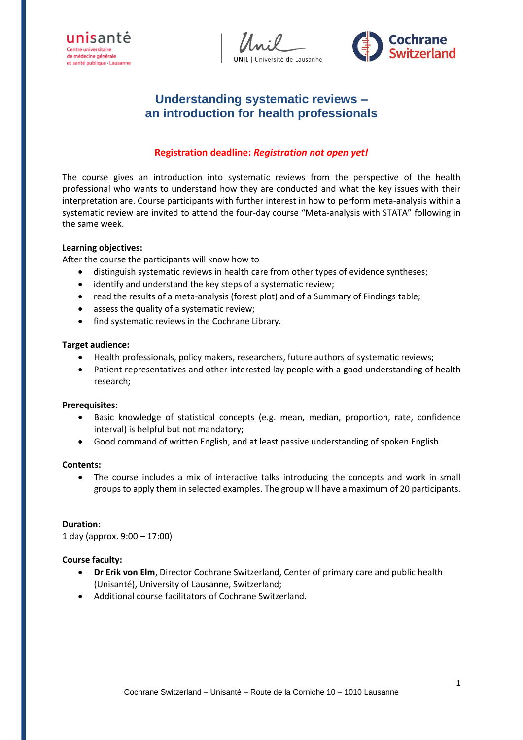



# **Understanding systematic reviews – an introduction for health professionals**

# **Registration deadline:** *Registration not open yet!*

The course gives an introduction into systematic reviews from the perspective of the health professional who wants to understand how they are conducted and what the key issues with their interpretation are. Course participants with further interest in how to perform meta-analysis within a systematic review are invited to attend the four-day course "Meta-analysis with STATA" following in the same week.

#### **Learning objectives:**

After the course the participants will know how to

- distinguish systematic reviews in health care from other types of evidence syntheses;
- identify and understand the key steps of a systematic review;
- read the results of a meta-analysis (forest plot) and of a Summary of Findings table;
- assess the quality of a systematic review;
- find systematic reviews in the Cochrane Library.

#### **Target audience:**

- Health professionals, policy makers, researchers, future authors of systematic reviews;
- Patient representatives and other interested lay people with a good understanding of health research;

#### **Prerequisites:**

- Basic knowledge of statistical concepts (e.g. mean, median, proportion, rate, confidence interval) is helpful but not mandatory;
- Good command of written English, and at least passive understanding of spoken English.

#### **Contents:**

 The course includes a mix of interactive talks introducing the concepts and work in small groups to apply them in selected examples. The group will have a maximum of 20 participants.

#### **Duration:**

1 day (approx. 9:00 – 17:00)

#### **Course faculty:**

- **Dr Erik von Elm**, Director Cochrane Switzerland, Center of primary care and public health (Unisanté), University of Lausanne, Switzerland;
- Additional course facilitators of Cochrane Switzerland.